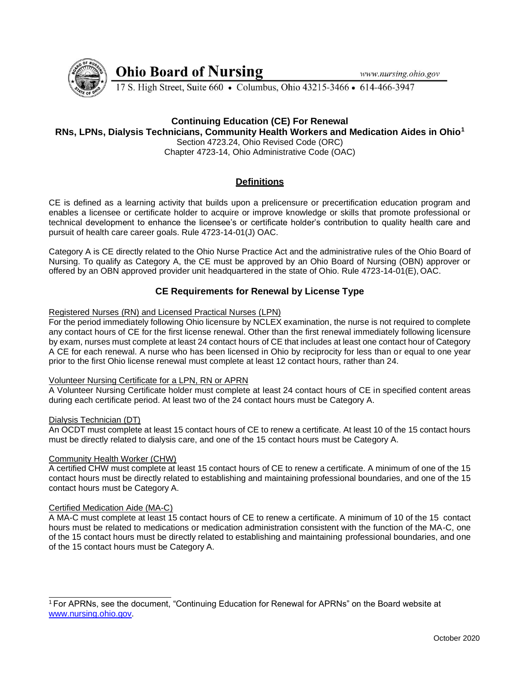www.nursing.ohio.gov



**Ohio Board of Nursing** 

17 S. High Street, Suite 660 • Columbus, Ohio 43215-3466 • 614-466-3947

# **Continuing Education (CE) For Renewal**

## **RNs, LPNs, Dialysis Technicians, Community Health Workers and Medication Aides in Ohio<sup>1</sup>**

Section 4723.24, Ohio Revised Code (ORC) Chapter 4723-14, Ohio Administrative Code (OAC)

# **Definitions**

CE is defined as a learning activity that builds upon a prelicensure or precertification education program and enables a licensee or certificate holder to acquire or improve knowledge or skills that promote professional or technical development to enhance the licensee's or certificate holder's contribution to quality health care and pursuit of health care career goals. Rule 4723-14-01(J) OAC.

Category A is CE directly related to the Ohio Nurse Practice Act and the administrative rules of the Ohio Board of Nursing. To qualify as Category A, the CE must be approved by an Ohio Board of Nursing (OBN) approver or offered by an OBN approved provider unit headquartered in the state of Ohio. Rule 4723-14-01(E), OAC.

# **CE Requirements for Renewal by License Type**

## Registered Nurses (RN) and Licensed Practical Nurses (LPN)

For the period immediately following Ohio licensure by NCLEX examination, the nurse is not required to complete any contact hours of CE for the first license renewal. Other than the first renewal immediately following licensure by exam, nurses must complete at least 24 contact hours of CE that includes at least one contact hour of Category A CE for each renewal. A nurse who has been licensed in Ohio by reciprocity for less than or equal to one year prior to the first Ohio license renewal must complete at least 12 contact hours, rather than 24.

## Volunteer Nursing Certificate for a LPN, RN or APRN

A Volunteer Nursing Certificate holder must complete at least 24 contact hours of CE in specified content areas during each certificate period. At least two of the 24 contact hours must be Category A.

## Dialysis Technician (DT)

An OCDT must complete at least 15 contact hours of CE to renew a certificate. At least 10 of the 15 contact hours must be directly related to dialysis care, and one of the 15 contact hours must be Category A.

## Community Health Worker (CHW)

A certified CHW must complete at least 15 contact hours of CE to renew a certificate. A minimum of one of the 15 contact hours must be directly related to establishing and maintaining professional boundaries, and one of the 15 contact hours must be Category A.

## Certified Medication Aide (MA-C)

A MA-C must complete at least 15 contact hours of CE to renew a certificate. A minimum of 10 of the 15 contact hours must be related to medications or medication administration consistent with the function of the MA-C, one of the 15 contact hours must be directly related to establishing and maintaining professional boundaries, and one of the 15 contact hours must be Category A.

<sup>1</sup>For APRNs, see the document, "Continuing Education for Renewal for APRNs" on the Board website at [www.nursing.ohio.gov.](http://www.nursing.ohio.gov/)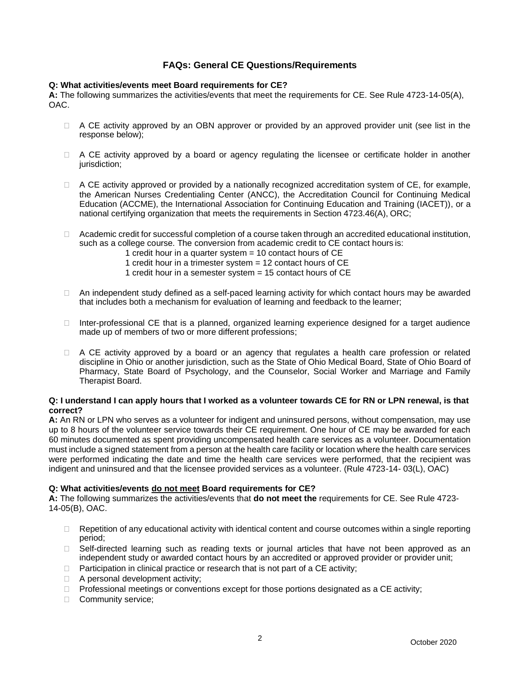# **FAQs: General CE Questions/Requirements**

## **Q: What activities/events meet Board requirements for CE?**

**A:** The following summarizes the activities/events that meet the requirements for CE. See Rule 4723-14-05(A), OAC.

- $\Box$  A CE activity approved by an OBN approver or provided by an approved provider unit (see list in the response below);
- $\Box$  A CE activity approved by a board or agency regulating the licensee or certificate holder in another jurisdiction;
- $\Box$  A CE activity approved or provided by a nationally recognized accreditation system of CE, for example, the American Nurses Credentialing Center (ANCC), the Accreditation Council for Continuing Medical Education (ACCME), the International Association for Continuing Education and Training (IACET)), or a national certifying organization that meets the requirements in Section 4723.46(A), ORC;
- □ Academic credit for successful completion of a course taken through an accredited educational institution, such as a college course. The conversion from academic credit to CE contact hours is:
	- 1 credit hour in a quarter system = 10 contact hours of CE
	- 1 credit hour in a trimester system = 12 contact hours of CE
	- 1 credit hour in a semester system = 15 contact hours of CE
- $\Box$  An independent study defined as a self-paced learning activity for which contact hours may be awarded that includes both a mechanism for evaluation of learning and feedback to the learner;
- $\Box$  Inter-professional CE that is a planned, organized learning experience designed for a target audience made up of members of two or more different professions;
- $\Box$  A CE activity approved by a board or an agency that regulates a health care profession or related discipline in Ohio or another jurisdiction, such as the State of Ohio Medical Board, State of Ohio Board of Pharmacy, State Board of Psychology, and the Counselor, Social Worker and Marriage and Family Therapist Board.

## **Q: I understand I can apply hours that I worked as a volunteer towards CE for RN or LPN renewal, is that correct?**

**A:** An RN or LPN who serves as a volunteer for indigent and uninsured persons, without compensation, may use up to 8 hours of the volunteer service towards their CE requirement. One hour of CE may be awarded for each 60 minutes documented as spent providing uncompensated health care services as a volunteer. Documentation must include a signed statement from a person at the health care facility or location where the health care services were performed indicating the date and time the health care services were performed, that the recipient was indigent and uninsured and that the licensee provided services as a volunteer. (Rule 4723-14- 03(L), OAC)

## **Q: What activities/events do not meet Board requirements for CE?**

**A:** The following summarizes the activities/events that **do not meet the** requirements for CE. See Rule 4723- 14-05(B), OAC.

- $\Box$  Repetition of any educational activity with identical content and course outcomes within a single reporting period;
- □ Self-directed learning such as reading texts or journal articles that have not been approved as an independent study or awarded contact hours by an accredited or approved provider or provider unit;
- $\Box$  Participation in clinical practice or research that is not part of a CE activity;
- □ A personal development activity;
- $\Box$  Professional meetings or conventions except for those portions designated as a CE activity;
- □ Community service: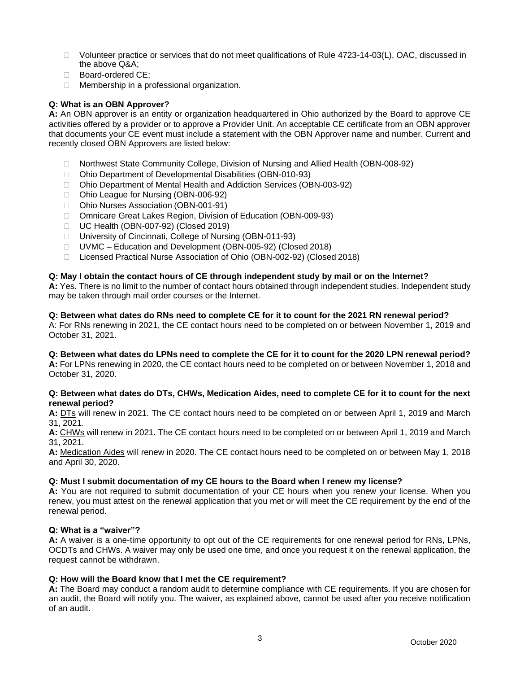- □ Volunteer practice or services that do not meet qualifications of Rule 4723-14-03(L), OAC, discussed in the above Q&A;
- □ Board-ordered CE:
- □ Membership in a professional organization.

## **Q: What is an OBN Approver?**

**A:** An OBN approver is an entity or organization headquartered in Ohio authorized by the Board to approve CE activities offered by a provider or to approve a Provider Unit. An acceptable CE certificate from an OBN approver that documents your CE event must include a statement with the OBN Approver name and number. Current and recently closed OBN Approvers are listed below:

- □ Northwest State Community College, Division of Nursing and Allied Health (OBN-008-92)
- Ohio Department of Developmental Disabilities (OBN-010-93)
- □ Ohio Department of Mental Health and Addiction Services (OBN-003-92)
- □ Ohio League for Nursing (OBN-006-92)
- □ Ohio Nurses Association (OBN-001-91)
- Omnicare Great Lakes Region, Division of Education (OBN-009-93)
- □ UC Health (OBN-007-92) (Closed 2019)
- □ University of Cincinnati, College of Nursing (OBN-011-93)
- UVMC Education and Development (OBN-005-92) (Closed 2018)
- □ Licensed Practical Nurse Association of Ohio (OBN-002-92) (Closed 2018)

## **Q: May I obtain the contact hours of CE through independent study by mail or on the Internet?**

**A:** Yes. There is no limit to the number of contact hours obtained through independent studies. Independent study may be taken through mail order courses or the Internet.

#### **Q: Between what dates do RNs need to complete CE for it to count for the 2021 RN renewal period?**

A: For RNs renewing in 2021, the CE contact hours need to be completed on or between November 1, 2019 and October 31, 2021.

## **Q: Between what dates do LPNs need to complete the CE for it to count for the 2020 LPN renewal period?**

**A:** For LPNs renewing in 2020, the CE contact hours need to be completed on or between November 1, 2018 and October 31, 2020.

#### **Q: Between what dates do DTs, CHWs, Medication Aides, need to complete CE for it to count for the next renewal period?**

**A:** DTs will renew in 2021. The CE contact hours need to be completed on or between April 1, 2019 and March 31, 2021.

**A:** CHWs will renew in 2021. The CE contact hours need to be completed on or between April 1, 2019 and March 31, 2021.

**A:** Medication Aides will renew in 2020. The CE contact hours need to be completed on or between May 1, 2018 and April 30, 2020.

## **Q: Must I submit documentation of my CE hours to the Board when I renew my license?**

**A:** You are not required to submit documentation of your CE hours when you renew your license. When you renew, you must attest on the renewal application that you met or will meet the CE requirement by the end of the renewal period.

## **Q: What is a "waiver"?**

**A:** A waiver is a one-time opportunity to opt out of the CE requirements for one renewal period for RNs, LPNs, OCDTs and CHWs. A waiver may only be used one time, and once you request it on the renewal application, the request cannot be withdrawn.

## **Q: How will the Board know that I met the CE requirement?**

**A:** The Board may conduct a random audit to determine compliance with CE requirements. If you are chosen for an audit, the Board will notify you. The waiver, as explained above, cannot be used after you receive notification of an audit.